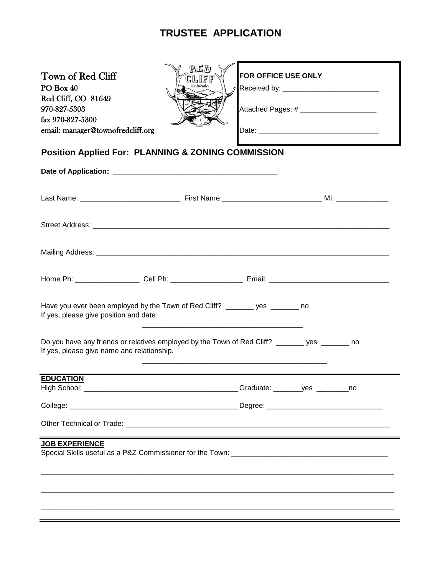## **TRUSTEE APPLICATION**

| Town of Red Cliff<br>PO Box 40<br>Red Cliff, CO 81649<br>970-827-5303<br>fax 970-827-5300<br>email: manager@townofredcliff.org<br><b>Position Applied For: PLANNING &amp; ZONING COMMISSION</b> | red<br>しのぎ<br>Colorado | FOR OFFICE USE ONLY<br>Attached Pages: # _______________________ |  |  |
|-------------------------------------------------------------------------------------------------------------------------------------------------------------------------------------------------|------------------------|------------------------------------------------------------------|--|--|
|                                                                                                                                                                                                 |                        |                                                                  |  |  |
|                                                                                                                                                                                                 |                        |                                                                  |  |  |
|                                                                                                                                                                                                 |                        |                                                                  |  |  |
|                                                                                                                                                                                                 |                        |                                                                  |  |  |
|                                                                                                                                                                                                 |                        |                                                                  |  |  |
| Have you ever been employed by the Town of Red Cliff? ________ yes _______ no<br>If yes, please give position and date:                                                                         |                        |                                                                  |  |  |
| Do you have any friends or relatives employed by the Town of Red Cliff? _______ yes _______ no<br>If yes, please give name and relationship.                                                    |                        |                                                                  |  |  |
| <b>EDUCATION</b>                                                                                                                                                                                |                        |                                                                  |  |  |
|                                                                                                                                                                                                 |                        | Graduate: ___________yes ___________no                           |  |  |
|                                                                                                                                                                                                 |                        |                                                                  |  |  |
|                                                                                                                                                                                                 |                        |                                                                  |  |  |
| <b>JOB EXPERIENCE</b>                                                                                                                                                                           |                        |                                                                  |  |  |
|                                                                                                                                                                                                 |                        |                                                                  |  |  |